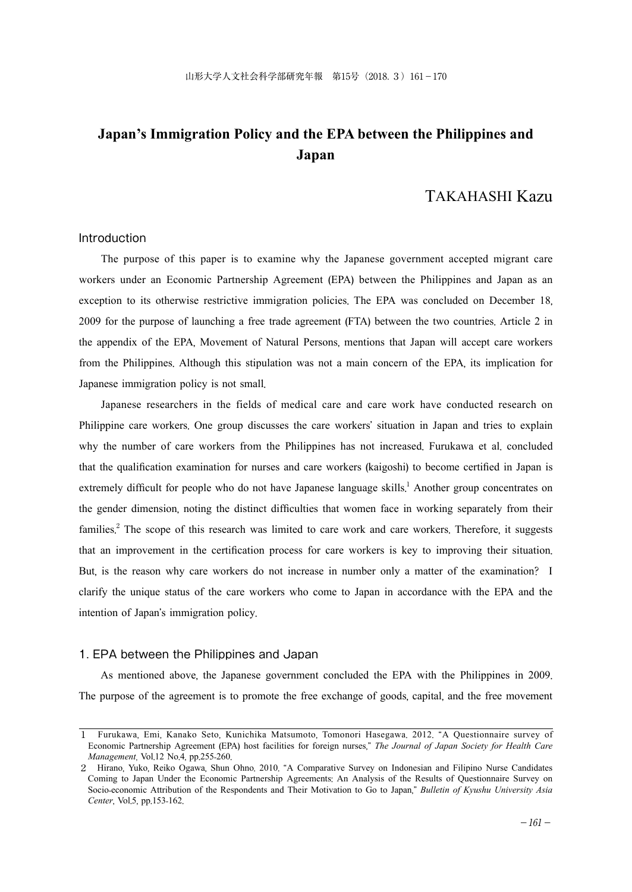# **Japan's Immigration Policy and the EPA between the Philippines and Japan**

# TAKAHASHI Kazu

### Introduction

The purpose of this paper is to examine why the Japanese government accepted migrant care workers under an Economic Partnership Agreement (EPA) between the Philippines and Japan as an exception to its otherwise restrictive immigration policies. The EPA was concluded on December 18, 2009 for the purpose of launching a free trade agreement (FTA) between the two countries. Article 2 in the appendix of the EPA, Movement of Natural Persons, mentions that Japan will accept care workers from the Philippines. Although this stipulation was not a main concern of the EPA, its implication for Japanese immigration policy is not small.

Japanese researchers in the fields of medical care and care work have conducted research on Philippine care workers. One group discusses the care workers' situation in Japan and tries to explain why the number of care workers from the Philippines has not increased. Furukawa et al. concluded that the qualification examination for nurses and care workers (kaigoshi) to become certified in Japan is extremely difficult for people who do not have Japanese language skills.<sup>1</sup> Another group concentrates on the gender dimension, noting the distinct difficulties that women face in working separately from their families.<sup>2</sup> The scope of this research was limited to care work and care workers. Therefore, it suggests that an improvement in the certification process for care workers is key to improving their situation. But, is the reason why care workers do not increase in number only a matter of the examination? I clarify the unique status of the care workers who come to Japan in accordance with the EPA and the intention of Japan's immigration policy.

## 1. EPA between the Philippines and Japan

As mentioned above, the Japanese government concluded the EPA with the Philippines in 2009. The purpose of the agreement is to promote the free exchange of goods, capital, and the free movement

<sup>1</sup> Furukawa, Emi, Kanako Seto, Kunichika Matsumoto, Tomonori Hasegawa. 2012. "A Questionnaire survey of Economic Partnership Agreement (EPA) host facilities for foreign nurses," *The Journal of Japan Society for Health Care Management*, Vol.12 No.4, pp.255-260.

<sup>2</sup> Hirano, Yuko, Reiko Ogawa, Shun Ohno. 2010. "A Comparative Survey on Indonesian and Filipino Nurse Candidates Coming to Japan Under the Economic Partnership Agreements: An Analysis of the Results of Questionnaire Survey on Socio-economic Attribution of the Respondents and Their Motivation to Go to Japan," *Bulletin of Kyushu University Asia Center*, Vol.5, pp.153-162.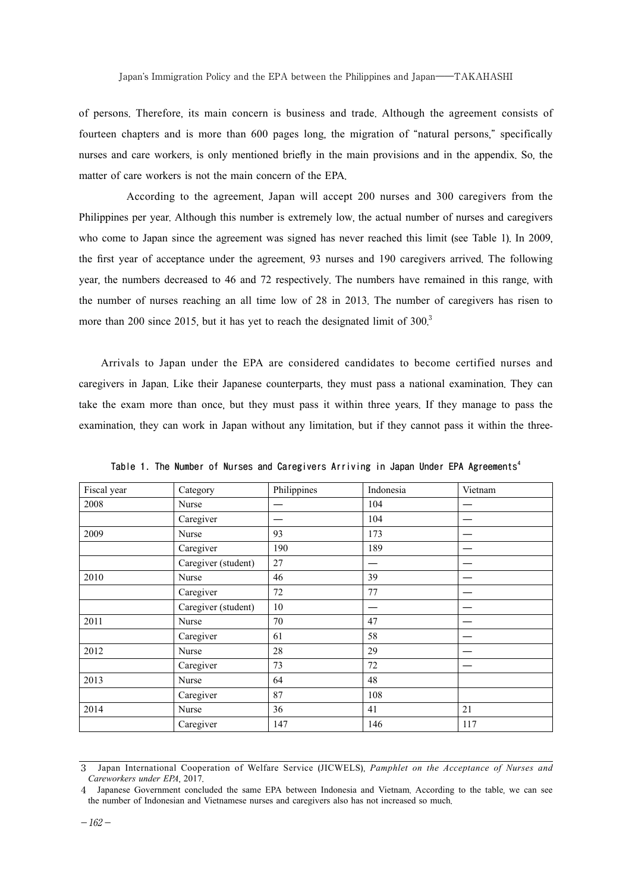of persons. Therefore, its main concern is business and trade. Although the agreement consists of fourteen chapters and is more than 600 pages long, the migration of "natural persons," specifically nurses and care workers, is only mentioned briefly in the main provisions and in the appendix. So, the matter of care workers is not the main concern of the EPA.

 According to the agreement, Japan will accept 200 nurses and 300 caregivers from the Philippines per year. Although this number is extremely low, the actual number of nurses and caregivers who come to Japan since the agreement was signed has never reached this limit (see Table 1). In 2009, the first year of acceptance under the agreement, 93 nurses and 190 caregivers arrived. The following year, the numbers decreased to 46 and 72 respectively. The numbers have remained in this range, with the number of nurses reaching an all time low of 28 in 2013. The number of caregivers has risen to more than 200 since 2015, but it has yet to reach the designated limit of  $300<sup>3</sup>$ 

Arrivals to Japan under the EPA are considered candidates to become certified nurses and caregivers in Japan. Like their Japanese counterparts, they must pass a national examination. They can take the exam more than once, but they must pass it within three years. If they manage to pass the examination, they can work in Japan without any limitation, but if they cannot pass it within the three-

| Fiscal year | Category            | Philippines | Indonesia                     | Vietnam |
|-------------|---------------------|-------------|-------------------------------|---------|
| 2008        | Nurse               |             | 104                           |         |
|             | Caregiver           |             | 104                           |         |
| 2009        | Nurse               | 93          | 173                           |         |
|             | Caregiver           | 190         | 189                           |         |
|             | Caregiver (student) | 27          | $\overbrace{\phantom{12332}}$ |         |
| 2010        | Nurse               | 46          | 39                            |         |
|             | Caregiver           | 72          | 77                            |         |
|             | Caregiver (student) | 10          | –                             |         |
| 2011        | Nurse               | 70          | 47                            |         |
|             | Caregiver           | 61          | 58                            |         |
| 2012        | Nurse               | 28          | 29                            |         |
|             | Caregiver           | 73          | 72                            |         |
| 2013        | Nurse               | 64          | 48                            |         |
|             | Caregiver           | 87          | 108                           |         |
| 2014        | Nurse               | 36          | 41                            | 21      |
|             | Caregiver           | 147         | 146                           | 117     |

**Table 1. The Number of Nurses and Caregivers Arriving in Japan Under EPA Agreements<sup>4</sup>**

<sup>3</sup> Japan International Cooperation of Welfare Service (JICWELS), *Pamphlet on the Acceptance of Nurses and Careworkers under EPA*, 2017.

<sup>4</sup> Japanese Government concluded the same EPA between Indonesia and Vietnam. According to the table, we can see the number of Indonesian and Vietnamese nurses and caregivers also has not increased so much.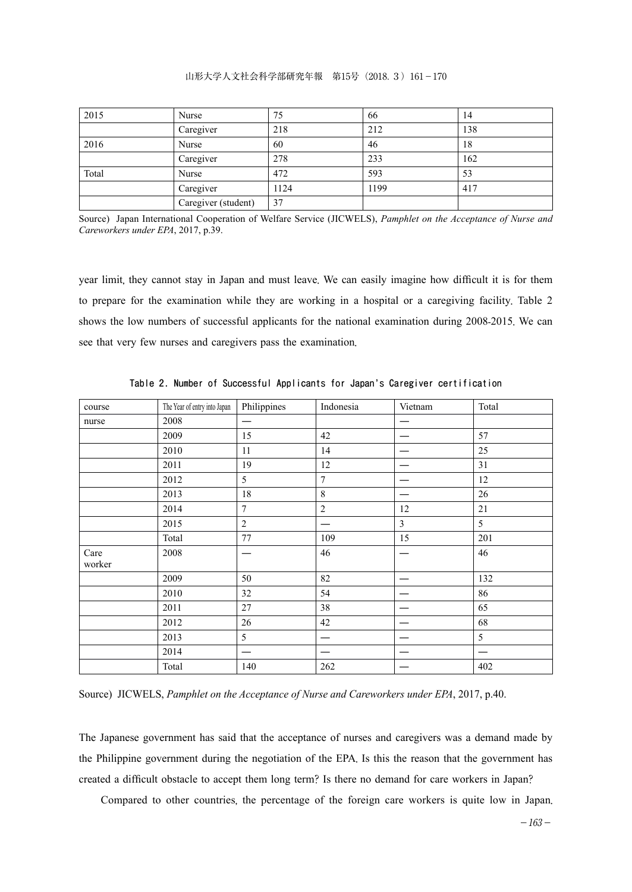### 山形大学人文社会科学部研究年報 第15号(2018.3)161-170

| 2015  | Nurse               | 75   | 66   | 14  |
|-------|---------------------|------|------|-----|
|       | Caregiver           | 218  | 212  | 138 |
| 2016  | Nurse               | 60   | 46   | 18  |
|       | Caregiver           | 278  | 233  | 162 |
| Total | Nurse               | 472  | 593  | 53  |
|       | Caregiver           | 1124 | 1199 | 417 |
|       | Caregiver (student) | 37   |      |     |

Source) Japan International Cooperation of Welfare Service (JICWELS), *Pamphlet on the Acceptance of Nurse and Careworkers under EPA*, 2017, p.39.

year limit, they cannot stay in Japan and must leave. We can easily imagine how difficult it is for them to prepare for the examination while they are working in a hospital or a caregiving facility. Table 2 shows the low numbers of successful applicants for the national examination during 2008-2015. We can see that very few nurses and caregivers pass the examination.

| course         | The Year of entry into Japan | Philippines    | Indonesia      | Vietnam        | Total |
|----------------|------------------------------|----------------|----------------|----------------|-------|
| nurse          | 2008                         | –              |                |                |       |
|                | 2009                         | 15             | 42             |                | 57    |
|                | 2010                         | 11             | 14             |                | 25    |
|                | 2011                         | 19             | 12             |                | 31    |
|                | 2012                         | 5              | $\overline{7}$ |                | 12    |
|                | 2013                         | 18             | 8              |                | 26    |
|                | 2014                         | $\overline{7}$ | $\overline{2}$ | 12             | 21    |
|                | 2015                         | $\overline{2}$ |                | $\overline{3}$ | 5     |
|                | Total                        | 77             | 109            | 15             | 201   |
| Care<br>worker | 2008                         | —              | 46             |                | 46    |
|                | 2009                         | 50             | 82             |                | 132   |
|                | 2010                         | 32             | 54             |                | 86    |
|                | 2011                         | 27             | 38             |                | 65    |
|                | 2012                         | 26             | 42             |                | 68    |
|                | 2013                         | 5              |                |                | 5     |
|                | 2014                         | —              |                |                |       |
|                | Total                        | 140            | 262            |                | 402   |

**Table 2. Number of Successful Applicants for Japan's Caregiver certification**

Source) JICWELS, *Pamphlet on the Acceptance of Nurse and Careworkers under EPA*, 2017, p.40.

The Japanese government has said that the acceptance of nurses and caregivers was a demand made by the Philippine government during the negotiation of the EPA. Is this the reason that the government has created a difficult obstacle to accept them long term? Is there no demand for care workers in Japan?

Compared to other countries, the percentage of the foreign care workers is quite low in Japan.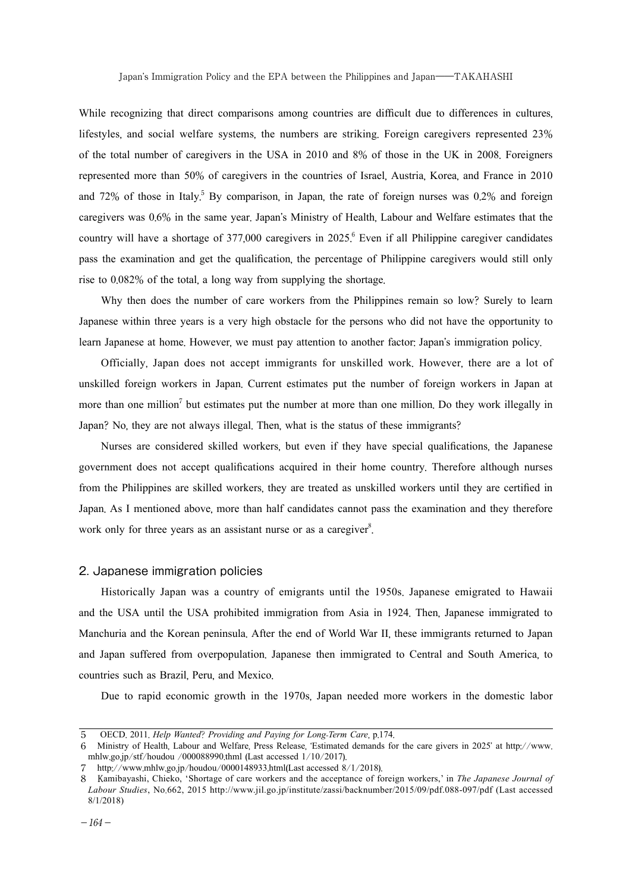While recognizing that direct comparisons among countries are difficult due to differences in cultures, lifestyles, and social welfare systems, the numbers are striking. Foreign caregivers represented 23% of the total number of caregivers in the USA in 2010 and 8% of those in the UK in 2008. Foreigners represented more than 50% of caregivers in the countries of Israel, Austria, Korea, and France in 2010 and 72% of those in Italy. <sup>5</sup> By comparison, in Japan, the rate of foreign nurses was 0.2% and foreign caregivers was 0.6% in the same year. Japan's Ministry of Health, Labour and Welfare estimates that the country will have a shortage of 377,000 caregivers in 2025. <sup>6</sup> Even if all Philippine caregiver candidates pass the examination and get the qualification, the percentage of Philippine caregivers would still only rise to 0.082% of the total, a long way from supplying the shortage.

Why then does the number of care workers from the Philippines remain so low? Surely to learn Japanese within three years is a very high obstacle for the persons who did not have the opportunity to learn Japanese at home. However, we must pay attention to another factor: Japan's immigration policy.

Officially, Japan does not accept immigrants for unskilled work. However, there are a lot of unskilled foreign workers in Japan. Current estimates put the number of foreign workers in Japan at more than one million<sup>7</sup> but estimates put the number at more than one million. Do they work illegally in Japan? No, they are not always illegal. Then, what is the status of these immigrants?

Nurses are considered skilled workers, but even if they have special qualifications, the Japanese government does not accept qualifications acquired in their home country. Therefore although nurses from the Philippines are skilled workers, they are treated as unskilled workers until they are certified in Japan. As I mentioned above, more than half candidates cannot pass the examination and they therefore work only for three years as an assistant nurse or as a caregiver<sup>8</sup>.

#### 2. Japanese immigration policies

Historically Japan was a country of emigrants until the 1950s. Japanese emigrated to Hawaii and the USA until the USA prohibited immigration from Asia in 1924. Then, Japanese immigrated to Manchuria and the Korean peninsula. After the end of World War II, these immigrants returned to Japan and Japan suffered from overpopulation. Japanese then immigrated to Central and South America, to countries such as Brazil, Peru, and Mexico.

Due to rapid economic growth in the 1970s, Japan needed more workers in the domestic labor

<sup>5</sup> OECD. 2011. *Help Wanted*? *Providing and Paying for Long*-*Term Care*, p.174.

<sup>6</sup> Ministry of Health, Labour and Welfare, Press Release, 'Estimated demands for the care givers in 2025' at http://www. mhlw.go.jp/stf/houdou /000088990.thml (Last accessed 1/10/2017).

<sup>7</sup> http://www.mhlw.go.jp/houdou/0000148933.html(Last accessed 8/1/2018).

<sup>8</sup> Kamibayashi, Chieko, 'Shortage of care workers and the acceptance of foreign workers,' in *The Japanese Journal of Labour Studies*, No.662, 2015 http://www.jil.go.jp/institute/zassi/backnumber/2015/09/pdf.088-097/pdf (Last accessed 8/1/2018)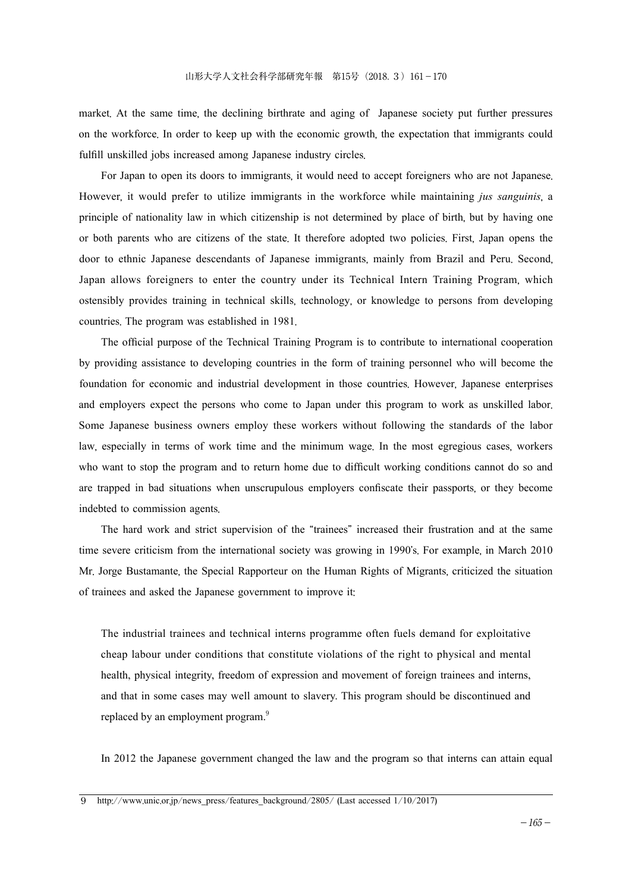market. At the same time, the declining birthrate and aging of Japanese society put further pressures on the workforce. In order to keep up with the economic growth, the expectation that immigrants could fulfill unskilled jobs increased among Japanese industry circles.

For Japan to open its doors to immigrants, it would need to accept foreigners who are not Japanese. However, it would prefer to utilize immigrants in the workforce while maintaining *jus sanguinis*, a principle of nationality law in which citizenship is not determined by place of birth, but by having one or both parents who are citizens of the state. It therefore adopted two policies. First, Japan opens the door to ethnic Japanese descendants of Japanese immigrants, mainly from Brazil and Peru. Second, Japan allows foreigners to enter the country under its Technical Intern Training Program, which ostensibly provides training in technical skills, technology, or knowledge to persons from developing countries. The program was established in 1981.

The official purpose of the Technical Training Program is to contribute to international cooperation by providing assistance to developing countries in the form of training personnel who will become the foundation for economic and industrial development in those countries. However, Japanese enterprises and employers expect the persons who come to Japan under this program to work as unskilled labor. Some Japanese business owners employ these workers without following the standards of the labor law, especially in terms of work time and the minimum wage. In the most egregious cases, workers who want to stop the program and to return home due to difficult working conditions cannot do so and are trapped in bad situations when unscrupulous employers confiscate their passports, or they become indebted to commission agents.

The hard work and strict supervision of the "trainees" increased their frustration and at the same time severe criticism from the international society was growing in 1990's. For example, in March 2010 Mr. Jorge Bustamante, the Special Rapporteur on the Human Rights of Migrants, criticized the situation of trainees and asked the Japanese government to improve it:

The industrial trainees and technical interns programme often fuels demand for exploitative cheap labour under conditions that constitute violations of the right to physical and mental health, physical integrity, freedom of expression and movement of foreign trainees and interns, and that in some cases may well amount to slavery. This program should be discontinued and replaced by an employment program.<sup>9</sup>

In 2012 the Japanese government changed the law and the program so that interns can attain equal

9 http://www.unic.or.jp/news\_press/features\_background/2805/ (Last accessed 1/10/2017)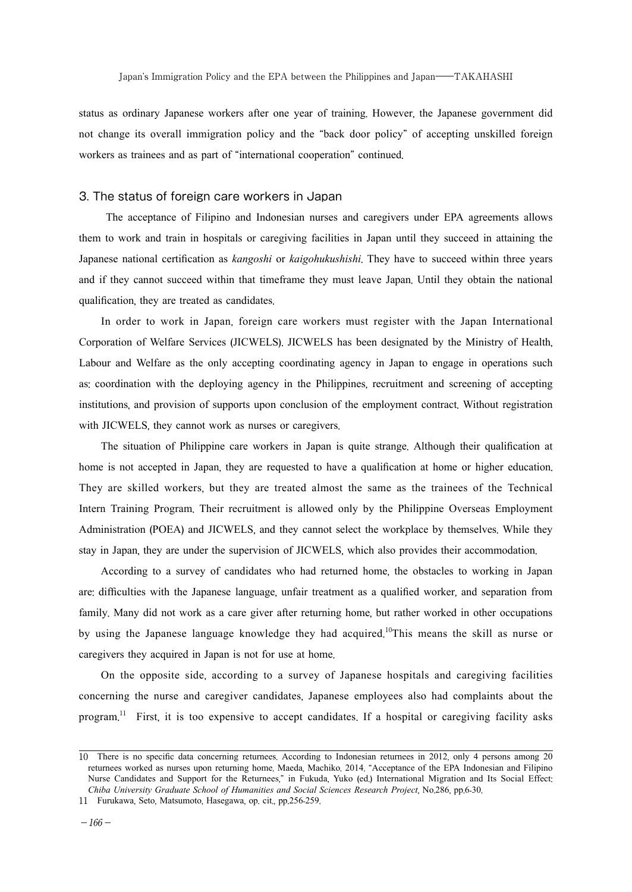status as ordinary Japanese workers after one year of training. However, the Japanese government did not change its overall immigration policy and the "back door policy" of accepting unskilled foreign workers as trainees and as part of "international cooperation" continued.

## 3. The status of foreign care workers in Japan

The acceptance of Filipino and Indonesian nurses and caregivers under EPA agreements allows them to work and train in hospitals or caregiving facilities in Japan until they succeed in attaining the Japanese national certification as *kangoshi* or *kaigohukushishi*. They have to succeed within three years and if they cannot succeed within that timeframe they must leave Japan. Until they obtain the national qualification, they are treated as candidates.

In order to work in Japan, foreign care workers must register with the Japan International Corporation of Welfare Services (JICWELS). JICWELS has been designated by the Ministry of Health, Labour and Welfare as the only accepting coordinating agency in Japan to engage in operations such as: coordination with the deploying agency in the Philippines, recruitment and screening of accepting institutions, and provision of supports upon conclusion of the employment contract. Without registration with JICWELS, they cannot work as nurses or caregivers.

The situation of Philippine care workers in Japan is quite strange. Although their qualification at home is not accepted in Japan, they are requested to have a qualification at home or higher education. They are skilled workers, but they are treated almost the same as the trainees of the Technical Intern Training Program. Their recruitment is allowed only by the Philippine Overseas Employment Administration (POEA) and JICWELS, and they cannot select the workplace by themselves. While they stay in Japan, they are under the supervision of JICWELS, which also provides their accommodation.

According to a survey of candidates who had returned home, the obstacles to working in Japan are: difficulties with the Japanese language, unfair treatment as a qualified worker, and separation from family. Many did not work as a care giver after returning home, but rather worked in other occupations by using the Japanese language knowledge they had acquired. <sup>10</sup>This means the skill as nurse or caregivers they acquired in Japan is not for use at home.

On the opposite side, according to a survey of Japanese hospitals and caregiving facilities concerning the nurse and caregiver candidates, Japanese employees also had complaints about the program.<sup>11</sup> First, it is too expensive to accept candidates. If a hospital or caregiving facility asks

<sup>10</sup> There is no specific data concerning returnees. According to Indonesian returnees in 2012, only 4 persons among 20 returnees worked as nurses upon returning home. Maeda, Machiko. 2014. "Acceptance of the EPA Indonesian and Filipino Nurse Candidates and Support for the Returnees," in Fukuda, Yuko (ed.) International Migration and Its Social Effect: *Chiba University Graduate School of Humanities and Social Sciences Research Project*, No.286, pp.6-30.

<sup>11</sup> Furukawa, Seto, Matsumoto, Hasegawa, op. cit., pp.256-259.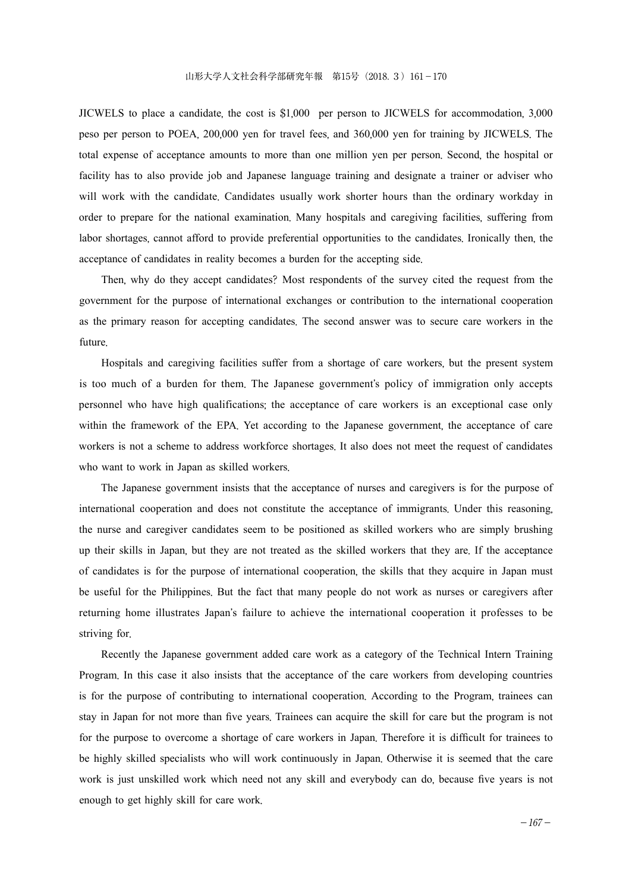JICWELS to place a candidate, the cost is \$1,000 per person to JICWELS for accommodation, 3,000 peso per person to POEA, 200,000 yen for travel fees, and 360,000 yen for training by JICWELS. The total expense of acceptance amounts to more than one million yen per person. Second, the hospital or facility has to also provide job and Japanese language training and designate a trainer or adviser who will work with the candidate. Candidates usually work shorter hours than the ordinary workday in order to prepare for the national examination. Many hospitals and caregiving facilities, suffering from labor shortages, cannot afford to provide preferential opportunities to the candidates. Ironically then, the acceptance of candidates in reality becomes a burden for the accepting side.

Then, why do they accept candidates? Most respondents of the survey cited the request from the government for the purpose of international exchanges or contribution to the international cooperation as the primary reason for accepting candidates. The second answer was to secure care workers in the future.

Hospitals and caregiving facilities suffer from a shortage of care workers, but the present system is too much of a burden for them. The Japanese government's policy of immigration only accepts personnel who have high qualifications; the acceptance of care workers is an exceptional case only within the framework of the EPA. Yet according to the Japanese government, the acceptance of care workers is not a scheme to address workforce shortages. It also does not meet the request of candidates who want to work in Japan as skilled workers.

The Japanese government insists that the acceptance of nurses and caregivers is for the purpose of international cooperation and does not constitute the acceptance of immigrants. Under this reasoning, the nurse and caregiver candidates seem to be positioned as skilled workers who are simply brushing up their skills in Japan, but they are not treated as the skilled workers that they are. If the acceptance of candidates is for the purpose of international cooperation, the skills that they acquire in Japan must be useful for the Philippines. But the fact that many people do not work as nurses or caregivers after returning home illustrates Japan's failure to achieve the international cooperation it professes to be striving for.

Recently the Japanese government added care work as a category of the Technical Intern Training Program. In this case it also insists that the acceptance of the care workers from developing countries is for the purpose of contributing to international cooperation. According to the Program, trainees can stay in Japan for not more than five years. Trainees can acquire the skill for care but the program is not for the purpose to overcome a shortage of care workers in Japan. Therefore it is difficult for trainees to be highly skilled specialists who will work continuously in Japan. Otherwise it is seemed that the care work is just unskilled work which need not any skill and everybody can do, because five years is not enough to get highly skill for care work.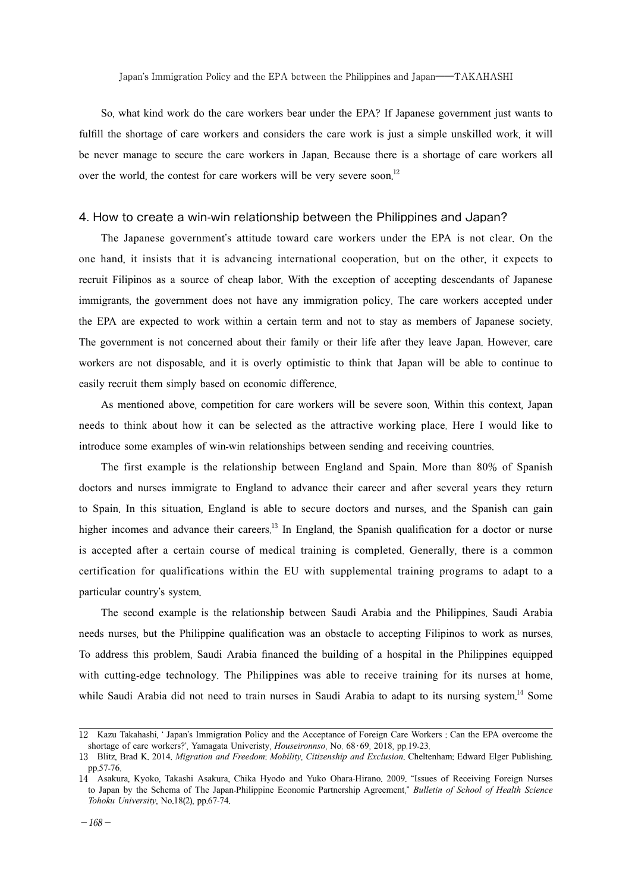So, what kind work do the care workers bear under the EPA? If Japanese government just wants to fulfill the shortage of care workers and considers the care work is just a simple unskilled work, it will be never manage to secure the care workers in Japan. Because there is a shortage of care workers all over the world, the contest for care workers will be very severe soon.<sup>12</sup>

### 4. How to create a win-win relationship between the Philippines and Japan?

The Japanese government's attitude toward care workers under the EPA is not clear. On the one hand, it insists that it is advancing international cooperation, but on the other, it expects to recruit Filipinos as a source of cheap labor. With the exception of accepting descendants of Japanese immigrants, the government does not have any immigration policy. The care workers accepted under the EPA are expected to work within a certain term and not to stay as members of Japanese society. The government is not concerned about their family or their life after they leave Japan. However, care workers are not disposable, and it is overly optimistic to think that Japan will be able to continue to easily recruit them simply based on economic difference.

As mentioned above, competition for care workers will be severe soon. Within this context, Japan needs to think about how it can be selected as the attractive working place. Here I would like to introduce some examples of win-win relationships between sending and receiving countries.

The first example is the relationship between England and Spain. More than 80% of Spanish doctors and nurses immigrate to England to advance their career and after several years they return to Spain. In this situation, England is able to secure doctors and nurses, and the Spanish can gain higher incomes and advance their careers.<sup>13</sup> In England, the Spanish qualification for a doctor or nurse is accepted after a certain course of medical training is completed. Generally, there is a common certification for qualifications within the EU with supplemental training programs to adapt to a particular country's system.

The second example is the relationship between Saudi Arabia and the Philippines. Saudi Arabia needs nurses, but the Philippine qualification was an obstacle to accepting Filipinos to work as nurses. To address this problem, Saudi Arabia financed the building of a hospital in the Philippines equipped with cutting-edge technology. The Philippines was able to receive training for its nurses at home, while Saudi Arabia did not need to train nurses in Saudi Arabia to adapt to its nursing system.<sup>14</sup> Some

<sup>12</sup> Kazu Takahashi, ' Japan's Immigration Policy and the Acceptance of Foreign Care Workers : Can the EPA overcome the shortage of care workers?', Yamagata Univeristy, *Houseironnso*, No. 68・69, 2018, pp.19-23.

<sup>13</sup> Blitz, Brad K. 2014. *Migration and Freedom*: *Mobility*, *Citizenship and Exclusion*. Cheltenham: Edward Elger Publishing. pp.57-76.

<sup>14</sup> Asakura, Kyoko, Takashi Asakura, Chika Hyodo and Yuko Ohara-Hirano. 2009. "Issues of Receiving Foreign Nurses to Japan by the Schema of The Japan-Philippine Economic Partnership Agreement," *Bulletin of School of Health Science Tohoku University*, No.18(2), pp.67-74.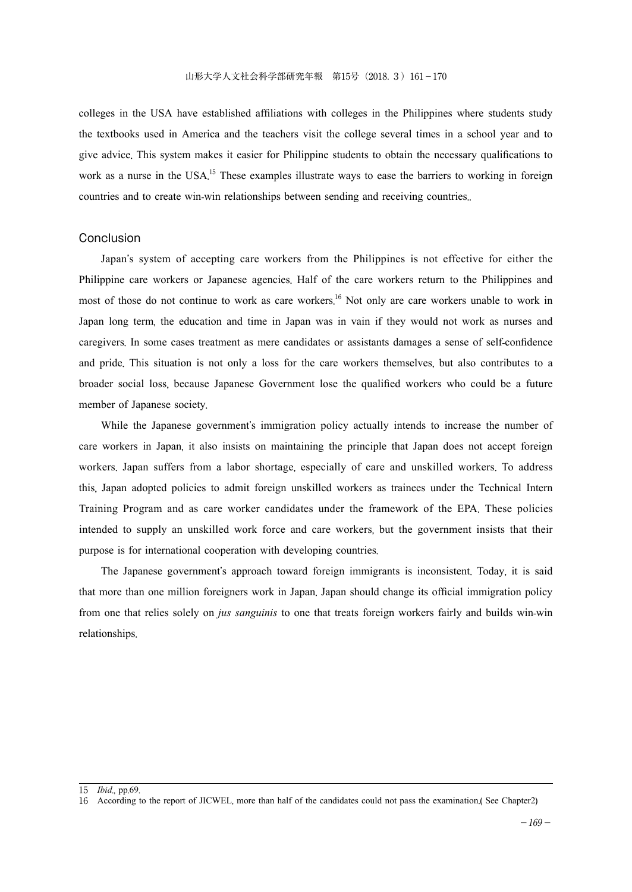colleges in the USA have established affiliations with colleges in the Philippines where students study the textbooks used in America and the teachers visit the college several times in a school year and to give advice. This system makes it easier for Philippine students to obtain the necessary qualifications to work as a nurse in the USA.<sup>15</sup> These examples illustrate ways to ease the barriers to working in foreign countries and to create win-win relationships between sending and receiving countries..

### Conclusion

Japan's system of accepting care workers from the Philippines is not effective for either the Philippine care workers or Japanese agencies. Half of the care workers return to the Philippines and most of those do not continue to work as care workers.<sup>16</sup> Not only are care workers unable to work in Japan long term, the education and time in Japan was in vain if they would not work as nurses and caregivers. In some cases treatment as mere candidates or assistants damages a sense of self-confidence and pride. This situation is not only a loss for the care workers themselves, but also contributes to a broader social loss, because Japanese Government lose the qualified workers who could be a future member of Japanese society.

While the Japanese government's immigration policy actually intends to increase the number of care workers in Japan, it also insists on maintaining the principle that Japan does not accept foreign workers. Japan suffers from a labor shortage, especially of care and unskilled workers. To address this, Japan adopted policies to admit foreign unskilled workers as trainees under the Technical Intern Training Program and as care worker candidates under the framework of the EPA. These policies intended to supply an unskilled work force and care workers, but the government insists that their purpose is for international cooperation with developing countries.

The Japanese government's approach toward foreign immigrants is inconsistent. Today, it is said that more than one million foreigners work in Japan. Japan should change its official immigration policy from one that relies solely on *jus sanguinis* to one that treats foreign workers fairly and builds win-win relationships.

<sup>15</sup> *Ibid*., pp.69.

<sup>16</sup> According to the report of JICWEL, more than half of the candidates could not pass the examination.( See Chapter2)